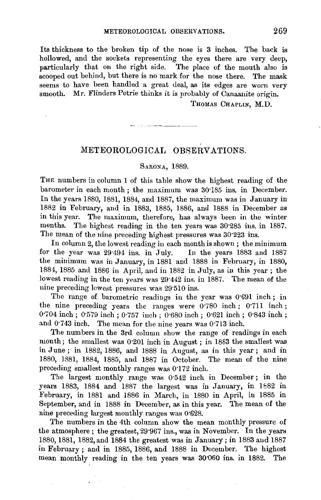Its thickness to the broken tip of the nose is 3 inches. The back is hollowed, and the sockets representing the eyes there are very deep, particularly that on the right side. The place of the mouth also is scooped out behind, but there is no mark for the nose there. The mask seems to have been handled a great deal, as its edges are worn very smooth. Mr. Flinders Petrie thinks it is probably of Canaanite origin.

THOMAS CHAPLIN, M.D.

## METEOROLOGICAL OBSERVATIONS.

## SARONA, 1889.

THE numbers in column 1 of this table show the highest reading of the barometer in each month ; the maximum was 30'185 ius. in December. In the years 1880, 1881, 1884, and 1887, the maximum was in January in 1882 in February, and in 1883, 1885, 1886, and 1888 in December as in this year. The maximum, therefore, has always been in the winter months. The highest reading in the ten years was 30'285 ins. in 1887. The mean of the nine preceding highest pressures was 30'223 ins.

In column 2, the lowest reading in each month is shown ; the minimum for the year was 29·494 ins. in July. In the years 1883 and 1887 the minimum was in January, in 1881 and 1888 in February, in 1880, 1884, 1885 and 1886 in April, and in 1882 in July, as in this year ; the lowest reading in the ten years was 29'442 ins. in 1887. The mean of the nine preceding lowest pressures was 29'510 ins.

The range of. barometric readings in the year was 0'691 inch; in the nine preceding years the ranges were o·780 inch ; 0'711 inch ; 0·704 inch ; 0·579 inch ; 0·757 inch ; 0·680 inch ; 0·621 inch ; 0•843 inch ; and 0'743 inch. The mean for the nine years was 0·713 inch.

The numbers in the 3rd column show the range of readings in each month; the smallest was 0·201 inch in August ; in 1883 the smallest was in June ; in 1882, 1886, and 1888 in August, as in this year ; and in 1880, 1881, 1884, 1885, and 1887 in October. The mean of the nine preceding smallest monthly ranges was 0'172 inch.

The largest monthly range was 0.542 inch in December; in the years 1883, 1884 and 1887 the largest was in January, in 1882 in February, in 1881 and 1886 in March, in 1880 in April, in 1885 in September, and in 1888 in December, as in this year. The mean of the nine preceding largest monthly ranges was 0'628.

The numbers in the 4th column show the mean monthly pressure of the atmosphere ; the greatest, 29·967 ins., was in November. In the years 1880, 1881, 1882, and 1884 the greatest was in January; in 1883 and 1887 in February; and in 1885, 1886, and 1888 in December. The highest mean monthly reading in the ten years was 30'060 ins. in 1882. The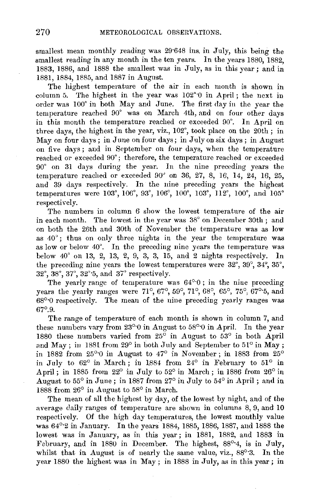smallest mean monthly reading was 29.648 ins. in July, this being the smallest reading in any month in the ten years. In the years 1880, 1882, 1883, 1886, and 1888 the smallest was in July, as in this year; and in 1881, 1884, 1885, and 1887 in August.

The highest temperature of the air in each month is shown in column 5. The highest in the year was 102°·0 in April; the next in order was 100° in both May and June. The first day in the year the temperature reached 90° was on March 4th, and on four other days in this month the temperature reached or exceeded 90°. In April on three days, the highest in the year, viz., 102°, took place on the 20th ; in May on four days; in June on four days; in July on six days; in August on five days; and in September on four days, when the temperature reached or exceeded 90°; therefore, the temperature reached or exceeded 90° on 31 days during the year. In the nine preceding years the temperature reached or exceeded 90" on 36, 27, 8, 16, 14, 24, 16, 25, and 39 days respectively. In the nine preceding years the highest temperatures were 103°, 106°, 93°, 106°, 100°, 103°, 112°, 100°, and 105° respectively.

The numbers in column *6* show the lowest temperature of the air in each month. The lowest in the year was 38° on December 30th ; and on both the 26th and 30th of November the temperature was as low as 40°; thus on only three nights in the year the temperature was as low or below 40°. In the preceding nine years the temperature was below 40' on 13, 2, 13, 2, 9, 3, 3, 15, and 2 nights respectively. In the preceding nine years the lowest temperatures were 32°, 39°, 34", 35°,  $32^{\circ}, 38^{\circ}, 37^{\circ}, 32^{\circ}5$ , and  $37^{\circ}$  respectively.

The yearly range of temperature was  $64^{\circ}0$ ; in the nine preceding years the yearly ranges were 71°, 67°, 59°, 71°, 68°, 65°, 75°, 67°-5, and 68°·0 respectively. The mean of the nine preceding yearly ranges was 67°.9.

The range of temperature of each month is shown in column 7, and these numbers vary from  $23^{\circ}$  0 in August to  $58^{\circ}$  0 in April. In the year 1880 these numbers varied from  $25^{\circ}$  in August to  $53^{\circ}$  in both April and May; in 1881 from 29° in both July and September to 51° in May; in 1882 from  $25^{\circ}$  0 in August to  $47^{\circ}$  in November; in 1883 from  $25^{\circ}$ in July to  $62^{\circ}$  in March; in 1884 from  $24^{\circ}$  in February to  $51^{\circ}$  in April; in 1885 from 22° in July to 52° in March; in 1886 from 26° in August to 55° in June; in 1887 from 27° in July to 54° in April; and in 1888 from 26° in August to 58° in March.

The mean of all the highest by day, of the lowest by night, and of the average daily ranges of temperature are shown in columns 8, 9, and 10 respectively. Of the high day temperatures, the lowest monthly value was 64°·2 in January. In the years 1884, 1885, 1886, 1887, and 1888 the lowest was in January, as in this year; in 1881, 1882, and 1883 in February, and in 1880 in December. The highest, 88°4, is in July, whilst that in August is of nearly the same value, viz., 88°·3. In the year 1880 the highest was in May ; in 1888 in July, as in this year; in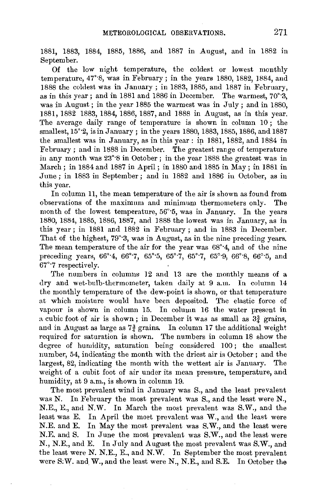1881, 1883, 1884, 1885, 1886, and 1887 in August, and in 1882 in September.

Of the low night temperature, the coldest or lowest monthly temperature, 47'·8, was in February; in the years 1880, 1882, 1884, and 1888 the coldest was in January; in 1883, 1885, and 1887 in February, as in this year; and in 1881 and 1886 in December. The warmest, 70'·3, was in August; in the year 1885 the warmest was in July; and in 1880, 1881, 1882 1883, 1884, 1886, 1887, and 1888 in August, as in this year. The average daily range of temperature is shown in column 10 ; the smallest, 15'·2, is in January ; in the years 1880, 1883, 1885, 1886, and 1887 the smallest was in January, as in this year: in 1881, 1882, and 1884 in February; and in 1888 in December. The greatest range of temperature in any month was 23'·8 in October; in the year 1888 the greatest was in March ; in 1884 and 1887 in April ; in 1880 and 1885 in May; in 1881 in June; in 1883 in September; and in 1882 and 1886 in October, as in this year.

In column 11, the mean temperature of the air is shown as found from observations of the maximum and minimum thermometers only. The month of the lowest temperature, 56'·5, was in January. In the years 1880, 1884, 1885, 1886, 1887, and 1888 the lowest was in January, as in this year; in 1881 and 1882 in February; and in 1883 in December. That of the highest, 79'·3, was in August, as in the nine preceding years. The mean temperature of the air for the year was 68'·4, and of the nine preceding years, 66°-4, 66°-7, 65°-5, 65°-7, 65°-7, 65°-9, 66°-8, 66°-5, and 67'·7 respectively.

The numbers in columns 12 and 13 are the monthly means of a dry and wet-bulb-thermometer, taken daily at 9 a.m. In column 14 the monthly temperature of the dew-point is shown, or that temperature at which moisture would have been deposited. The elastic force of vapour is shown in column 15. In coluwn 16 the water present in a cubic foot of air is shown; in December it was as small as  $3\frac{3}{4}$  grains, and in August as large as  $7\frac{3}{4}$  grains. In column 17 the additional weight required for saturation is shown. The numbers in column 18 show the degree of humidity, saturation being considered 100 ; the smallest number, 54, indicating the month with the driest air is October; and the largest, 82, indicating the month with the wettest air is January. The weight of a cubit foot of air under its mean pressure, temperature, and humidity, at 9 a.m., is shown in column 19.

The most prevalent wind in January was S., and the least prevalent was N. In February the most prevalent was S., and the least were N., N.E., E., and N.W. In March the most prevalent was S.W., and the least was E. In April the most prevalent was W., and the least were N.E. and E. In May the most prevalent was S.W., and the least were N.E. and S. In June the most prevalent was S.W., and the least were N., N.E., and E. In July and August the most prevalent was S.W., and the least were N. N.E., E., and N.W. In September the most prevalent were S:W. and, W., and the least were N., N.E., and S.E. In October the